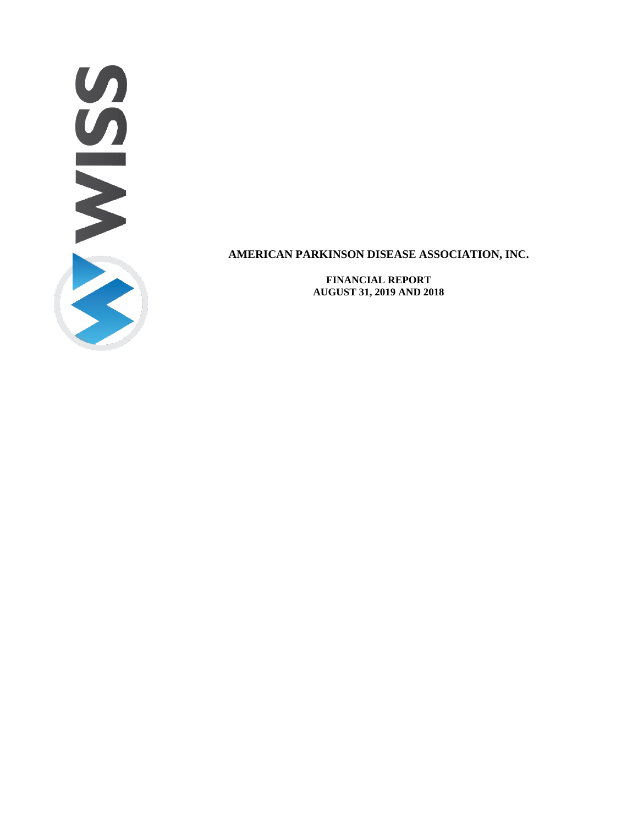

**FINANCIAL REPORT AUGUST 31, 2019 AND 2018**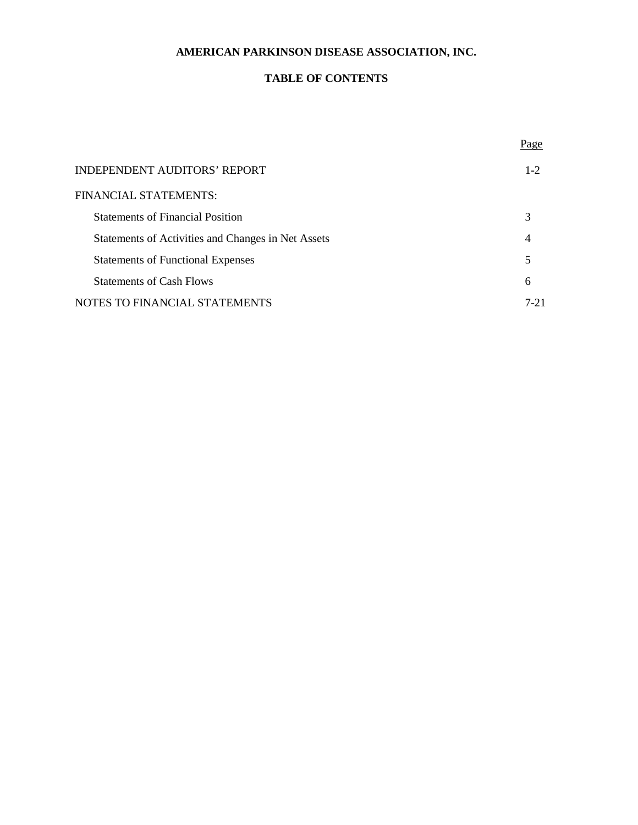## **TABLE OF CONTENTS**

|                                                    | Page     |
|----------------------------------------------------|----------|
| <b>INDEPENDENT AUDITORS' REPORT</b>                | $1 - 2$  |
| FINANCIAL STATEMENTS:                              |          |
| <b>Statements of Financial Position</b>            | 3        |
| Statements of Activities and Changes in Net Assets | 4        |
| <b>Statements of Functional Expenses</b>           | 5        |
| <b>Statements of Cash Flows</b>                    | 6        |
| NOTES TO FINANCIAL STATEMENTS                      | $7 - 21$ |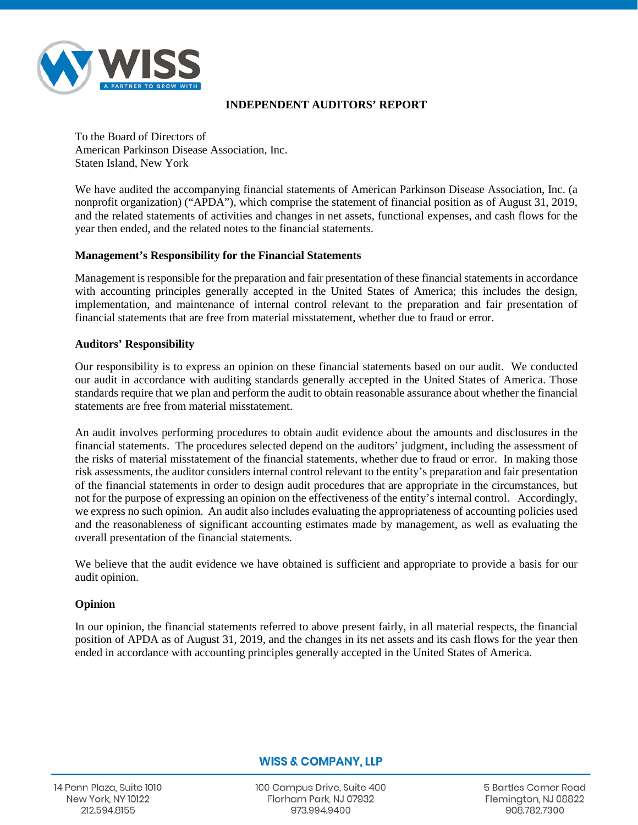

## **INDEPENDENT AUDITORS' REPORT**

To the Board of Directors of American Parkinson Disease Association, Inc. Staten Island, New York

We have audited the accompanying financial statements of American Parkinson Disease Association, Inc. (a nonprofit organization) ("APDA"), which comprise the statement of financial position as of August 31, 2019, and the related statements of activities and changes in net assets, functional expenses, and cash flows for the year then ended, and the related notes to the financial statements.

## **Management's Responsibility for the Financial Statements**

Management is responsible for the preparation and fair presentation of these financial statements in accordance with accounting principles generally accepted in the United States of America; this includes the design, implementation, and maintenance of internal control relevant to the preparation and fair presentation of financial statements that are free from material misstatement, whether due to fraud or error.

## **Auditors' Responsibility**

Our responsibility is to express an opinion on these financial statements based on our audit. We conducted our audit in accordance with auditing standards generally accepted in the United States of America. Those standards require that we plan and perform the audit to obtain reasonable assurance about whether the financial statements are free from material misstatement.

An audit involves performing procedures to obtain audit evidence about the amounts and disclosures in the financial statements. The procedures selected depend on the auditors' judgment, including the assessment of the risks of material misstatement of the financial statements, whether due to fraud or error. In making those risk assessments, the auditor considers internal control relevant to the entity's preparation and fair presentation of the financial statements in order to design audit procedures that are appropriate in the circumstances, but not for the purpose of expressing an opinion on the effectiveness of the entity's internal control. Accordingly, we express no such opinion. An audit also includes evaluating the appropriateness of accounting policies used and the reasonableness of significant accounting estimates made by management, as well as evaluating the overall presentation of the financial statements.

We believe that the audit evidence we have obtained is sufficient and appropriate to provide a basis for our audit opinion.

## **Opinion**

In our opinion, the financial statements referred to above present fairly, in all material respects, the financial position of APDA as of August 31, 2019, and the changes in its net assets and its cash flows for the year then ended in accordance with accounting principles generally accepted in the United States of America.

## **WISS & COMPANY, LLP**

14 Penn Plaza, Suite 1010 **New York, NY 10122** 212.594.8155

100 Campus Drive, Suite 400 Florham Park, NJ 07932 973.994.9400

**5 Bartles Corner Road** Flemington, NJ 08822 908.782.7300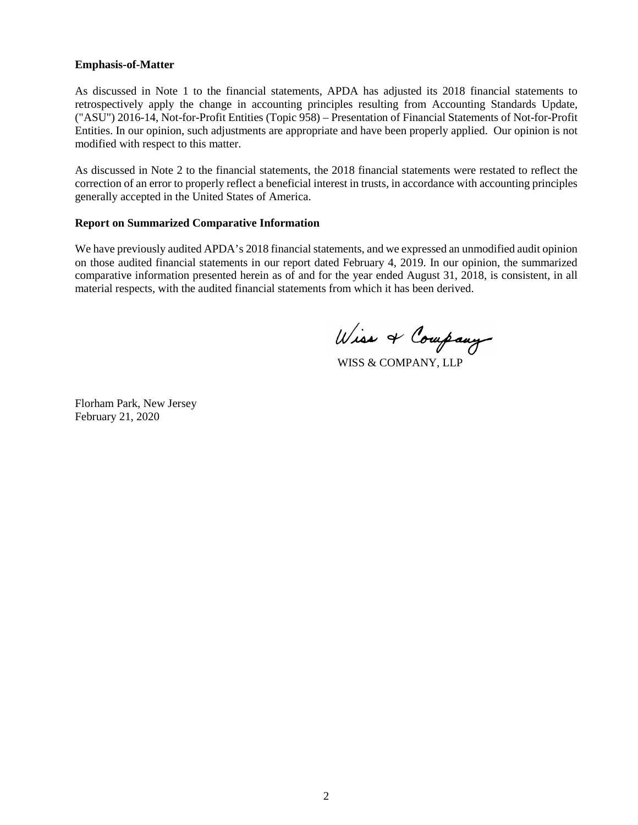### **Emphasis-of-Matter**

As discussed in Note 1 to the financial statements, APDA has adjusted its 2018 financial statements to retrospectively apply the change in accounting principles resulting from Accounting Standards Update, ("ASU") 2016-14, Not-for-Profit Entities (Topic 958) – Presentation of Financial Statements of Not-for-Profit Entities. In our opinion, such adjustments are appropriate and have been properly applied. Our opinion is not modified with respect to this matter.

As discussed in Note 2 to the financial statements, the 2018 financial statements were restated to reflect the correction of an error to properly reflect a beneficial interest in trusts, in accordance with accounting principles generally accepted in the United States of America.

## **Report on Summarized Comparative Information**

We have previously audited APDA's 2018 financial statements, and we expressed an unmodified audit opinion on those audited financial statements in our report dated February 4, 2019. In our opinion, the summarized comparative information presented herein as of and for the year ended August 31, 2018, is consistent, in all material respects, with the audited financial statements from which it has been derived.

Wiss & Company

WISS & COMPANY, LLP

Florham Park, New Jersey February 21, 2020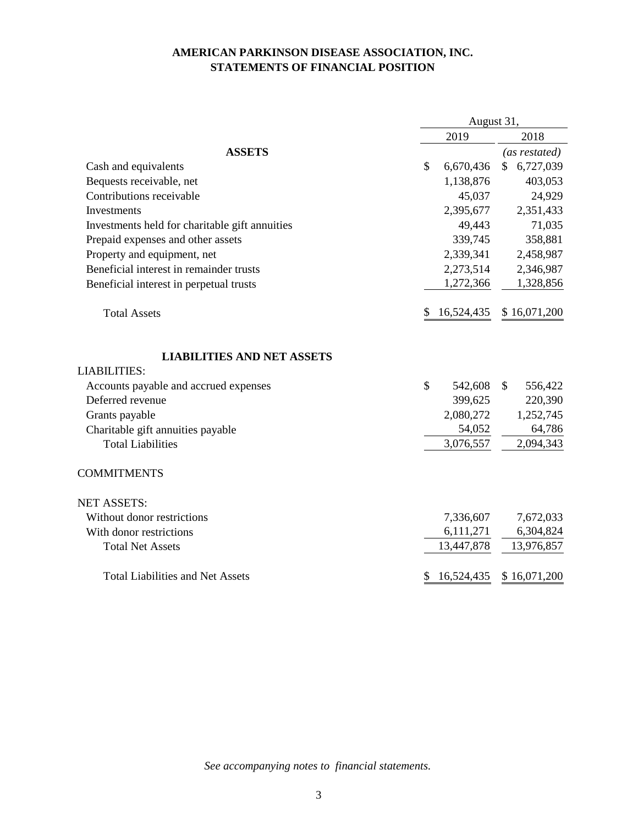## **AMERICAN PARKINSON DISEASE ASSOCIATION, INC. STATEMENTS OF FINANCIAL POSITION**

|                                                          | August 31,                 |                 |  |
|----------------------------------------------------------|----------------------------|-----------------|--|
|                                                          | 2019                       | 2018            |  |
| <b>ASSETS</b>                                            |                            | (as restated)   |  |
| Cash and equivalents                                     | $\mathcal{S}$<br>6,670,436 | 6,727,039<br>\$ |  |
| Bequests receivable, net                                 | 1,138,876                  | 403,053         |  |
| Contributions receivable                                 | 45,037                     | 24,929          |  |
| Investments                                              | 2,395,677                  | 2,351,433       |  |
| Investments held for charitable gift annuities           | 49,443                     | 71,035          |  |
| Prepaid expenses and other assets                        | 339,745                    | 358,881         |  |
| Property and equipment, net                              | 2,339,341                  | 2,458,987       |  |
| Beneficial interest in remainder trusts                  | 2,273,514                  | 2,346,987       |  |
| Beneficial interest in perpetual trusts                  | 1,272,366                  | 1,328,856       |  |
| <b>Total Assets</b>                                      | 16,524,435<br>\$           | \$16,071,200    |  |
| <b>LIABILITIES AND NET ASSETS</b><br><b>LIABILITIES:</b> |                            |                 |  |
| Accounts payable and accrued expenses                    | $\mathcal{S}$<br>542,608   | \$<br>556,422   |  |
| Deferred revenue                                         | 399,625                    | 220,390         |  |
| Grants payable                                           | 2,080,272                  | 1,252,745       |  |
| Charitable gift annuities payable                        | 54,052                     | 64,786          |  |
| <b>Total Liabilities</b>                                 | 3,076,557                  | 2,094,343       |  |
| <b>COMMITMENTS</b>                                       |                            |                 |  |
| <b>NET ASSETS:</b>                                       |                            |                 |  |
| Without donor restrictions                               | 7,336,607                  | 7,672,033       |  |
| With donor restrictions                                  | 6,111,271                  | 6,304,824       |  |
| <b>Total Net Assets</b>                                  | 13,447,878                 | 13,976,857      |  |
| <b>Total Liabilities and Net Assets</b>                  | 16,524,435<br>\$           | \$16,071,200    |  |

*See accompanying notes to financial statements.*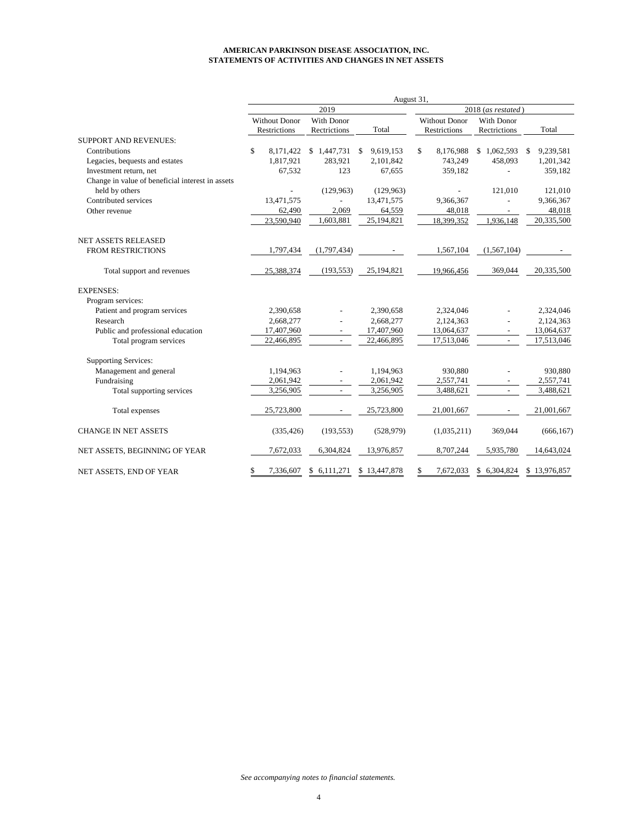#### **AMERICAN PARKINSON DISEASE ASSOCIATION, INC. STATEMENTS OF ACTIVITIES AND CHANGES IN NET ASSETS**

|                                                  | August 31,           |                          |                 |                      |                   |                 |  |  |
|--------------------------------------------------|----------------------|--------------------------|-----------------|----------------------|-------------------|-----------------|--|--|
|                                                  |                      | 2019                     |                 | 2018 (as restated)   |                   |                 |  |  |
|                                                  | <b>Without Donor</b> | With Donor               |                 | <b>Without Donor</b> | <b>With Donor</b> |                 |  |  |
|                                                  | <b>Restrictions</b>  | Rectrictions             | Total           | <b>Restrictions</b>  | Rectrictions      | Total           |  |  |
| <b>SUPPORT AND REVENUES:</b>                     |                      |                          |                 |                      |                   |                 |  |  |
| Contributions                                    | \$<br>8,171,422      | \$1,447,731              | 9,619,153<br>-S | \$<br>8,176,988      | \$1,062,593       | 9,239,581<br>\$ |  |  |
| Legacies, bequests and estates                   | 1,817,921            | 283,921                  | 2,101,842       | 743,249              | 458,093           | 1,201,342       |  |  |
| Investment return, net                           | 67,532               | 123                      | 67,655          | 359,182              |                   | 359,182         |  |  |
| Change in value of beneficial interest in assets |                      |                          |                 |                      |                   |                 |  |  |
| held by others                                   |                      | (129, 963)               | (129, 963)      |                      | 121,010           | 121,010         |  |  |
| Contributed services                             | 13,471,575           |                          | 13,471,575      | 9,366,367            |                   | 9,366,367       |  |  |
| Other revenue                                    | 62,490               | 2,069                    | 64,559          | 48,018               |                   | 48,018          |  |  |
|                                                  | 23,590,940           | 1,603,881                | 25,194,821      | 18,399,352           | 1,936,148         | 20,335,500      |  |  |
| <b>NET ASSETS RELEASED</b>                       |                      |                          |                 |                      |                   |                 |  |  |
| <b>FROM RESTRICTIONS</b>                         | 1,797,434            | (1,797,434)              |                 | 1,567,104            | (1, 567, 104)     |                 |  |  |
| Total support and revenues                       | 25,388,374           | (193, 553)               | 25,194,821      | 19,966,456           | 369,044           | 20,335,500      |  |  |
| <b>EXPENSES:</b>                                 |                      |                          |                 |                      |                   |                 |  |  |
| Program services:                                |                      |                          |                 |                      |                   |                 |  |  |
| Patient and program services                     | 2,390,658            |                          | 2,390,658       | 2,324,046            |                   | 2,324,046       |  |  |
| Research                                         | 2,668,277            |                          | 2,668,277       | 2,124,363            |                   | 2,124,363       |  |  |
| Public and professional education                | 17,407,960           | $\overline{\phantom{a}}$ | 17,407,960      | 13,064,637           |                   | 13,064,637      |  |  |
| Total program services                           | 22,466,895           |                          | 22,466,895      | 17,513,046           |                   | 17,513,046      |  |  |
| <b>Supporting Services:</b>                      |                      |                          |                 |                      |                   |                 |  |  |
| Management and general                           | 1,194,963            |                          | 1,194,963       | 930,880              |                   | 930,880         |  |  |
| Fundraising                                      | 2,061,942            |                          | 2,061,942       | 2,557,741            |                   | 2,557,741       |  |  |
| Total supporting services                        | 3,256,905            | $\sim$                   | 3,256,905       | 3,488,621            | $\overline{a}$    | 3,488,621       |  |  |
| Total expenses                                   | 25,723,800           |                          | 25,723,800      | 21,001,667           |                   | 21,001,667      |  |  |
| <b>CHANGE IN NET ASSETS</b>                      | (335, 426)           | (193, 553)               | (528, 979)      | (1,035,211)          | 369,044           | (666, 167)      |  |  |
| NET ASSETS, BEGINNING OF YEAR                    | 7,672,033            | 6,304,824                | 13,976,857      | 8,707,244            | 5,935,780         | 14,643,024      |  |  |
| NET ASSETS, END OF YEAR                          | \$<br>7,336,607      | 6,111,271<br>\$          | \$13,447,878    | 7,672,033<br>\$      | \$ 6,304,824      | \$13,976,857    |  |  |

*See accompanying notes to financial statements.*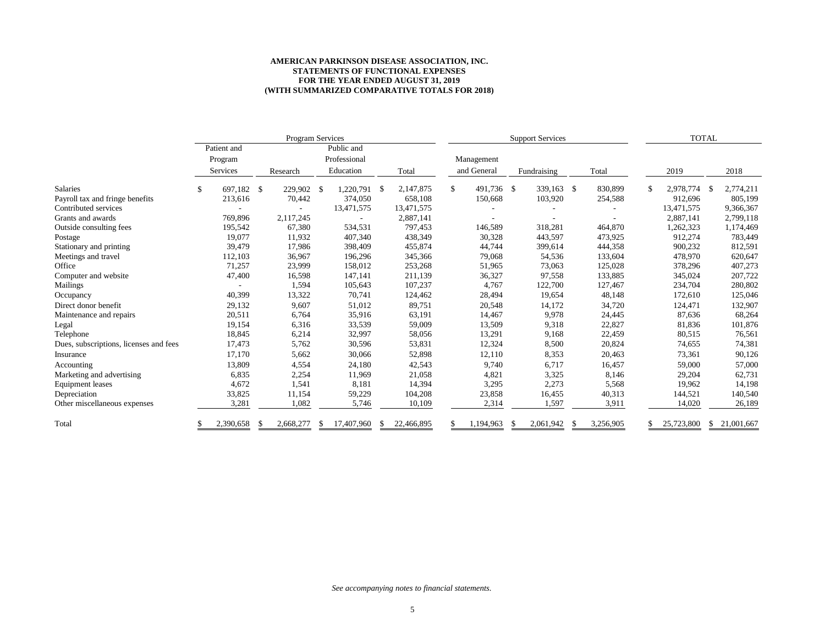#### **AMERICAN PARKINSON DISEASE ASSOCIATION, INC. STATEMENTS OF FUNCTIONAL EXPENSES FOR THE YEAR ENDED AUGUST 31, 2019 (WITH SUMMARIZED COMPARATIVE TOTALS FOR 2018)**

|                                        |                  |     | Program Services |    |              |     |            | <b>Support Services</b> |             |    | <b>TOTAL</b>   |           |                 |              |            |
|----------------------------------------|------------------|-----|------------------|----|--------------|-----|------------|-------------------------|-------------|----|----------------|-----------|-----------------|--------------|------------|
|                                        | Patient and      |     |                  |    | Public and   |     |            |                         |             |    |                |           |                 |              |            |
|                                        | Program          |     |                  |    | Professional |     |            |                         | Management  |    |                |           |                 |              |            |
|                                        | Services         |     | Research         |    | Education    |     | Total      |                         | and General |    | Fundraising    | Total     | 2019            |              | 2018       |
| Salaries                               | \$<br>697,182 \$ |     | 229,902          | -S | 1,220,791    | -\$ | 2,147,875  | \$                      | 491,736 \$  |    | 339,163 \$     | 830,899   | \$<br>2,978,774 | - \$         | 2,774,211  |
| Payroll tax and fringe benefits        | 213,616          |     | 70,442           |    | 374,050      |     | 658,108    |                         | 150,668     |    | 103,920        | 254,588   | 912,696         |              | 805,199    |
| Contributed services                   |                  |     |                  |    | 13,471,575   |     | 13,471,575 |                         |             |    |                |           | 13,471,575      |              | 9,366,367  |
| Grants and awards                      | 769,896          |     | 2,117,245        |    |              |     | 2,887,141  |                         |             |    |                |           | 2,887,141       |              | 2,799,118  |
| Outside consulting fees                | 195,542          |     | 67,380           |    | 534,531      |     | 797.453    |                         | 146,589     |    | 318,281        | 464,870   | 1,262,323       |              | 1,174,469  |
| Postage                                | 19,077           |     | 11,932           |    | 407,340      |     | 438,349    |                         | 30,328      |    | 443,597        | 473,925   | 912,274         |              | 783,449    |
| Stationary and printing                | 39,479           |     | 17,986           |    | 398,409      |     | 455,874    |                         | 44,744      |    | 399,614        | 444,358   | 900,232         |              | 812,591    |
| Meetings and travel                    | 112,103          |     | 36,967           |    | 196,296      |     | 345,366    |                         | 79,068      |    | 54,536         | 133,604   | 478,970         |              | 620,647    |
| Office                                 | 71,257           |     | 23,999           |    | 158,012      |     | 253,268    |                         | 51,965      |    | 73,063         | 125,028   | 378,296         |              | 407,273    |
| Computer and website                   | 47,400           |     | 16,598           |    | 147,141      |     | 211,139    |                         | 36,327      |    | 97,558         | 133,885   | 345,024         |              | 207,722    |
| Mailings                               |                  |     | 1,594            |    | 105,643      |     | 107,237    |                         | 4,767       |    | 122,700        | 127,467   | 234,704         |              | 280,802    |
| Occupancy                              | 40,399           |     | 13,322           |    | 70,741       |     | 124,462    |                         | 28,494      |    | 19,654         | 48,148    | 172,610         |              | 125,046    |
| Direct donor benefit                   | 29,132           |     | 9,607            |    | 51,012       |     | 89,751     |                         | 20,548      |    | 14,172         | 34,720    | 124,471         |              | 132,907    |
| Maintenance and repairs                | 20,511           |     | 6,764            |    | 35,916       |     | 63,191     |                         | 14,467      |    | 9,978          | 24,445    | 87,636          |              | 68,264     |
| Legal                                  | 19,154           |     | 6,316            |    | 33,539       |     | 59,009     |                         | 13,509      |    | 9,318          | 22,827    | 81,836          |              | 101,876    |
| Telephone                              | 18,845           |     | 6,214            |    | 32,997       |     | 58,056     |                         | 13,291      |    | 9,168          | 22,459    | 80,515          |              | 76,561     |
| Dues, subscriptions, licenses and fees | 17,473           |     | 5,762            |    | 30,596       |     | 53,831     |                         | 12,324      |    | 8,500          | 20,824    | 74,655          |              | 74,381     |
| Insurance                              | 17,170           |     | 5,662            |    | 30,066       |     | 52,898     |                         | 12,110      |    | 8,353          | 20,463    | 73,361          |              | 90,126     |
| Accounting                             | 13,809           |     | 4,554            |    | 24,180       |     | 42,543     |                         | 9,740       |    | 6,717          | 16,457    | 59,000          |              | 57,000     |
| Marketing and advertising              | 6,835            |     | 2,254            |    | 11,969       |     | 21,058     |                         | 4,821       |    | 3,325          | 8,146     | 29,204          |              | 62,731     |
| Equipment leases                       | 4,672            |     | 1,541            |    | 8,181        |     | 14,394     |                         | 3,295       |    | 2,273          | 5,568     | 19,962          |              | 14,198     |
| Depreciation                           | 33,825           |     | 11,154           |    | 59,229       |     | 104,208    |                         | 23,858      |    | 16,455         | 40,313    | 144,521         |              | 140,540    |
| Other miscellaneous expenses           | 3,281            |     | 1,082            |    | 5,746        |     | 10,109     |                         | 2,314       |    | 1,597          | 3,911     | 14,020          |              | 26,189     |
| Total                                  | 2,390,658        | - S | 2,668,277        | S  | 17,407,960   |     | 22,466,895 |                         | 1,194,963   | -S | 2,061,942<br>S | 3,256,905 | 25,723,800      | <sup>S</sup> | 21,001,667 |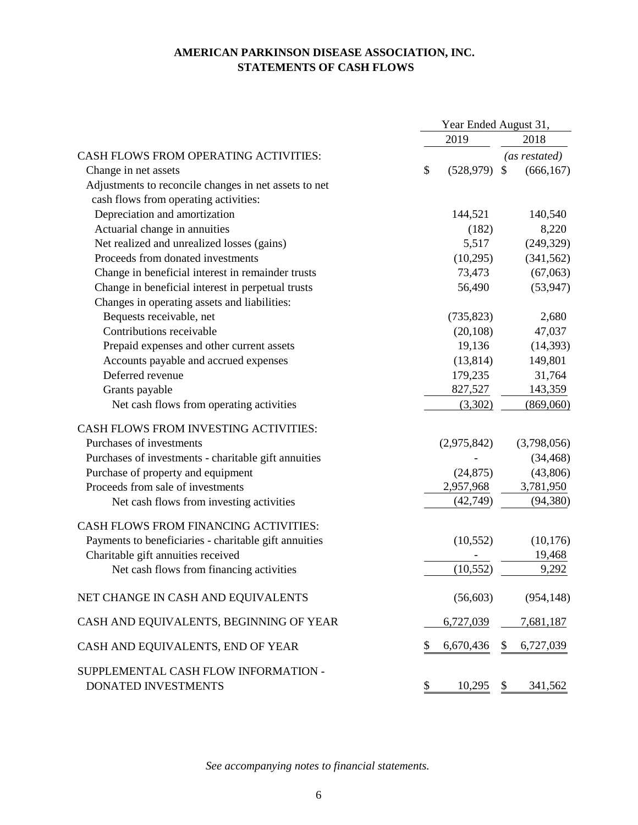## **AMERICAN PARKINSON DISEASE ASSOCIATION, INC. STATEMENTS OF CASH FLOWS**

|                                                             | Year Ended August 31, |             |               |               |
|-------------------------------------------------------------|-----------------------|-------------|---------------|---------------|
|                                                             |                       | 2019        |               | 2018          |
| <b>CASH FLOWS FROM OPERATING ACTIVITIES:</b>                |                       |             |               | (as restated) |
| Change in net assets                                        | \$                    | (528, 979)  | $\mathcal{S}$ | (666, 167)    |
| Adjustments to reconcile changes in net assets to net       |                       |             |               |               |
| cash flows from operating activities:                       |                       |             |               |               |
| Depreciation and amortization                               |                       | 144,521     |               | 140,540       |
| Actuarial change in annuities                               |                       | (182)       |               | 8,220         |
| Net realized and unrealized losses (gains)                  |                       | 5,517       |               | (249, 329)    |
| Proceeds from donated investments                           |                       | (10,295)    |               | (341, 562)    |
| Change in beneficial interest in remainder trusts           |                       | 73,473      |               | (67,063)      |
| Change in beneficial interest in perpetual trusts           |                       | 56,490      |               | (53, 947)     |
| Changes in operating assets and liabilities:                |                       |             |               |               |
| Bequests receivable, net                                    |                       | (735, 823)  |               | 2,680         |
| Contributions receivable                                    |                       | (20, 108)   |               | 47,037        |
| Prepaid expenses and other current assets                   |                       | 19,136      |               | (14, 393)     |
| Accounts payable and accrued expenses                       |                       | (13, 814)   |               | 149,801       |
| Deferred revenue                                            |                       | 179,235     |               | 31,764        |
| Grants payable                                              |                       | 827,527     |               | 143,359       |
| Net cash flows from operating activities                    |                       | (3,302)     |               | (869,060)     |
| CASH FLOWS FROM INVESTING ACTIVITIES:                       |                       |             |               |               |
| Purchases of investments                                    |                       | (2,975,842) |               | (3,798,056)   |
| Purchases of investments - charitable gift annuities        |                       |             |               | (34, 468)     |
| Purchase of property and equipment                          |                       | (24, 875)   |               | (43,806)      |
| Proceeds from sale of investments                           |                       | 2,957,968   |               | 3,781,950     |
| Net cash flows from investing activities                    |                       | (42, 749)   |               | (94, 380)     |
| <b>CASH FLOWS FROM FINANCING ACTIVITIES:</b>                |                       |             |               |               |
| Payments to beneficiaries - charitable gift annuities       |                       | (10, 552)   |               | (10, 176)     |
| Charitable gift annuities received                          |                       |             |               | 19,468        |
| Net cash flows from financing activities                    |                       | (10, 552)   |               | 9,292         |
| NET CHANGE IN CASH AND EQUIVALENTS                          |                       | (56, 603)   |               | (954, 148)    |
| CASH AND EQUIVALENTS, BEGINNING OF YEAR                     |                       | 6,727,039   |               | 7,681,187     |
| CASH AND EQUIVALENTS, END OF YEAR                           | \$                    | 6,670,436   | \$            | 6,727,039     |
| SUPPLEMENTAL CASH FLOW INFORMATION -<br>DONATED INVESTMENTS | \$                    | 10,295      | \$            | 341,562       |
|                                                             |                       |             |               |               |

*See accompanying notes to financial statements.*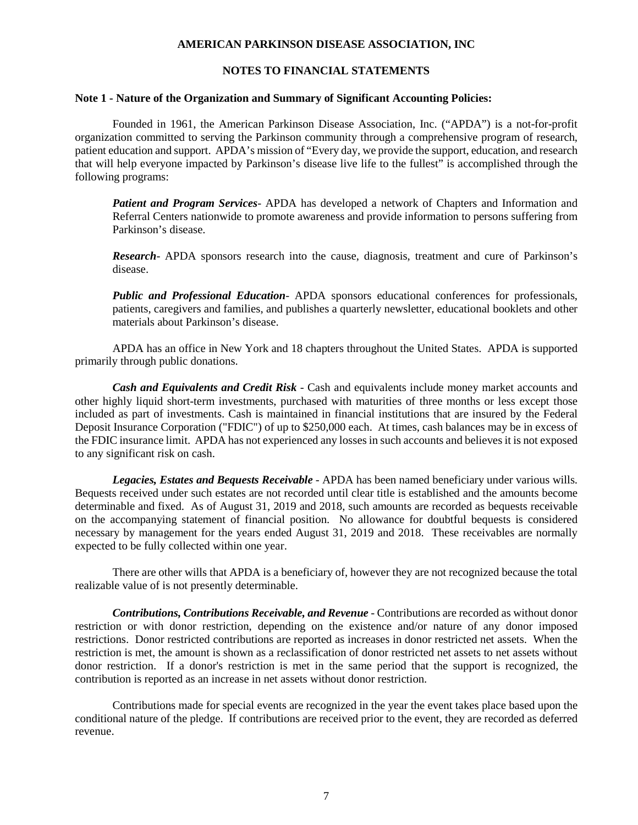## **NOTES TO FINANCIAL STATEMENTS**

#### **Note 1 - Nature of the Organization and Summary of Significant Accounting Policies:**

Founded in 1961, the American Parkinson Disease Association, Inc. ("APDA") is a not-for-profit organization committed to serving the Parkinson community through a comprehensive program of research, patient education and support. APDA's mission of "Every day, we provide the support, education, and research that will help everyone impacted by Parkinson's disease live life to the fullest" is accomplished through the following programs:

*Patient and Program Services*- APDA has developed a network of Chapters and Information and Referral Centers nationwide to promote awareness and provide information to persons suffering from Parkinson's disease.

*Research*- APDA sponsors research into the cause, diagnosis, treatment and cure of Parkinson's disease.

*Public and Professional Education*- APDA sponsors educational conferences for professionals, patients, caregivers and families, and publishes a quarterly newsletter, educational booklets and other materials about Parkinson's disease.

APDA has an office in New York and 18 chapters throughout the United States. APDA is supported primarily through public donations.

*Cash and Equivalents and Credit Risk* - Cash and equivalents include money market accounts and other highly liquid short-term investments, purchased with maturities of three months or less except those included as part of investments. Cash is maintained in financial institutions that are insured by the Federal Deposit Insurance Corporation ("FDIC") of up to \$250,000 each. At times, cash balances may be in excess of the FDIC insurance limit. APDA has not experienced any losses in such accounts and believes it is not exposed to any significant risk on cash.

*Legacies, Estates and Bequests Receivable -* APDA has been named beneficiary under various wills. Bequests received under such estates are not recorded until clear title is established and the amounts become determinable and fixed. As of August 31, 2019 and 2018, such amounts are recorded as bequests receivable on the accompanying statement of financial position. No allowance for doubtful bequests is considered necessary by management for the years ended August 31, 2019 and 2018. These receivables are normally expected to be fully collected within one year.

There are other wills that APDA is a beneficiary of, however they are not recognized because the total realizable value of is not presently determinable.

*Contributions, Contributions Receivable, and Revenue -* Contributions are recorded as without donor restriction or with donor restriction, depending on the existence and/or nature of any donor imposed restrictions. Donor restricted contributions are reported as increases in donor restricted net assets. When the restriction is met, the amount is shown as a reclassification of donor restricted net assets to net assets without donor restriction. If a donor's restriction is met in the same period that the support is recognized, the contribution is reported as an increase in net assets without donor restriction.

Contributions made for special events are recognized in the year the event takes place based upon the conditional nature of the pledge. If contributions are received prior to the event, they are recorded as deferred revenue.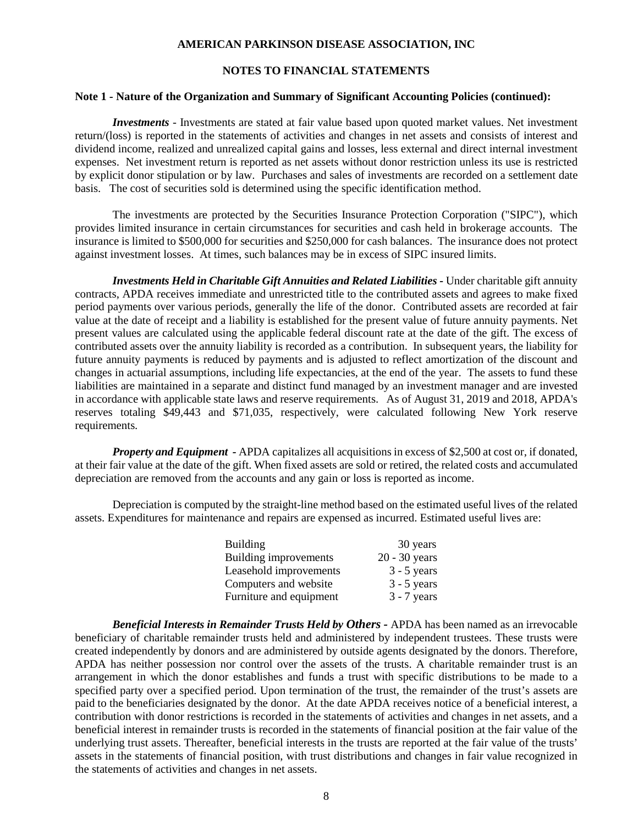## **NOTES TO FINANCIAL STATEMENTS**

#### **Note 1 - Nature of the Organization and Summary of Significant Accounting Policies (continued):**

*Investments -* Investments are stated at fair value based upon quoted market values. Net investment return/(loss) is reported in the statements of activities and changes in net assets and consists of interest and dividend income, realized and unrealized capital gains and losses, less external and direct internal investment expenses. Net investment return is reported as net assets without donor restriction unless its use is restricted by explicit donor stipulation or by law. Purchases and sales of investments are recorded on a settlement date basis. The cost of securities sold is determined using the specific identification method.

The investments are protected by the Securities Insurance Protection Corporation ("SIPC"), which provides limited insurance in certain circumstances for securities and cash held in brokerage accounts. The insurance is limited to \$500,000 for securities and \$250,000 for cash balances. The insurance does not protect against investment losses. At times, such balances may be in excess of SIPC insured limits.

*Investments Held in Charitable Gift Annuities and Related Liabilities -* Under charitable gift annuity contracts, APDA receives immediate and unrestricted title to the contributed assets and agrees to make fixed period payments over various periods, generally the life of the donor. Contributed assets are recorded at fair value at the date of receipt and a liability is established for the present value of future annuity payments. Net present values are calculated using the applicable federal discount rate at the date of the gift. The excess of contributed assets over the annuity liability is recorded as a contribution. In subsequent years, the liability for future annuity payments is reduced by payments and is adjusted to reflect amortization of the discount and changes in actuarial assumptions, including life expectancies, at the end of the year. The assets to fund these liabilities are maintained in a separate and distinct fund managed by an investment manager and are invested in accordance with applicable state laws and reserve requirements. As of August 31, 2019 and 2018, APDA's reserves totaling \$49,443 and \$71,035, respectively, were calculated following New York reserve requirements.

*Property and Equipment - APDA capitalizes all acquisitions in excess of \$2,500 at cost or, if donated,* at their fair value at the date of the gift. When fixed assets are sold or retired, the related costs and accumulated depreciation are removed from the accounts and any gain or loss is reported as income.

Depreciation is computed by the straight-line method based on the estimated useful lives of the related assets. Expenditures for maintenance and repairs are expensed as incurred. Estimated useful lives are:

| <b>Building</b>         | 30 years        |
|-------------------------|-----------------|
| Building improvements   | $20 - 30$ years |
| Leasehold improvements  | $3 - 5$ years   |
| Computers and website   | $3 - 5$ years   |
| Furniture and equipment | $3 - 7$ years   |

*Beneficial Interests in Remainder Trusts Held by Others -* APDA has been named as an irrevocable beneficiary of charitable remainder trusts held and administered by independent trustees. These trusts were created independently by donors and are administered by outside agents designated by the donors. Therefore, APDA has neither possession nor control over the assets of the trusts. A charitable remainder trust is an arrangement in which the donor establishes and funds a trust with specific distributions to be made to a specified party over a specified period. Upon termination of the trust, the remainder of the trust's assets are paid to the beneficiaries designated by the donor. At the date APDA receives notice of a beneficial interest, a contribution with donor restrictions is recorded in the statements of activities and changes in net assets, and a beneficial interest in remainder trusts is recorded in the statements of financial position at the fair value of the underlying trust assets. Thereafter, beneficial interests in the trusts are reported at the fair value of the trusts' assets in the statements of financial position, with trust distributions and changes in fair value recognized in the statements of activities and changes in net assets.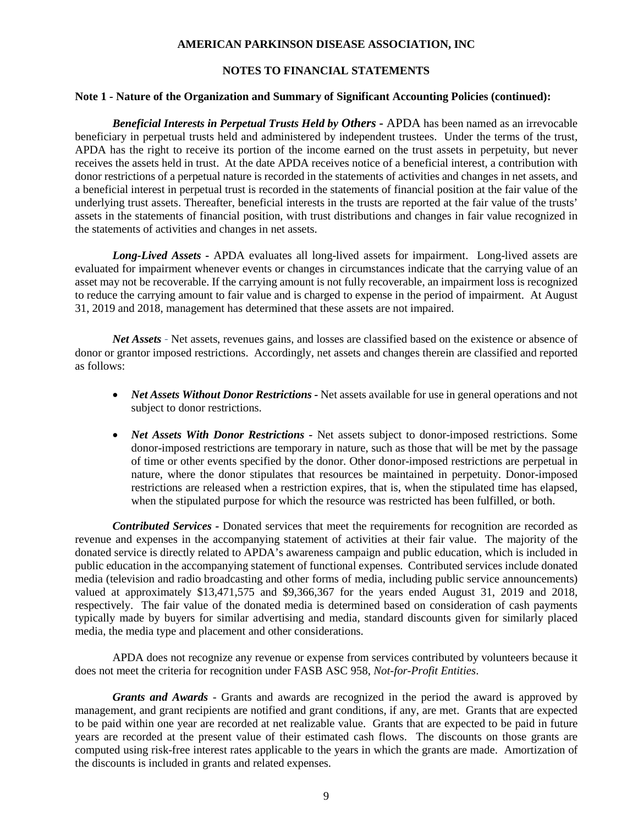## **NOTES TO FINANCIAL STATEMENTS**

#### **Note 1 - Nature of the Organization and Summary of Significant Accounting Policies (continued):**

*Beneficial Interests in Perpetual Trusts Held by Others -* APDA has been named as an irrevocable beneficiary in perpetual trusts held and administered by independent trustees. Under the terms of the trust, APDA has the right to receive its portion of the income earned on the trust assets in perpetuity, but never receives the assets held in trust. At the date APDA receives notice of a beneficial interest, a contribution with donor restrictions of a perpetual nature is recorded in the statements of activities and changes in net assets, and a beneficial interest in perpetual trust is recorded in the statements of financial position at the fair value of the underlying trust assets. Thereafter, beneficial interests in the trusts are reported at the fair value of the trusts' assets in the statements of financial position, with trust distributions and changes in fair value recognized in the statements of activities and changes in net assets.

*Long-Lived Assets* **-** APDA evaluates all long-lived assets for impairment. Long-lived assets are evaluated for impairment whenever events or changes in circumstances indicate that the carrying value of an asset may not be recoverable. If the carrying amount is not fully recoverable, an impairment loss is recognized to reduce the carrying amount to fair value and is charged to expense in the period of impairment. At August 31, 2019 and 2018, management has determined that these assets are not impaired.

*Net Assets* - Net assets, revenues gains, and losses are classified based on the existence or absence of donor or grantor imposed restrictions. Accordingly, net assets and changes therein are classified and reported as follows:

- *Net Assets Without Donor Restrictions -* Net assets available for use in general operations and not subject to donor restrictions.
- *Net Assets With Donor Restrictions -* Net assets subject to donor-imposed restrictions. Some donor-imposed restrictions are temporary in nature, such as those that will be met by the passage of time or other events specified by the donor. Other donor-imposed restrictions are perpetual in nature, where the donor stipulates that resources be maintained in perpetuity. Donor-imposed restrictions are released when a restriction expires, that is, when the stipulated time has elapsed, when the stipulated purpose for which the resource was restricted has been fulfilled, or both.

**Contributed Services -** Donated services that meet the requirements for recognition are recorded as revenue and expenses in the accompanying statement of activities at their fair value. The majority of the donated service is directly related to APDA's awareness campaign and public education, which is included in public education in the accompanying statement of functional expenses. Contributed services include donated media (television and radio broadcasting and other forms of media, including public service announcements) valued at approximately \$13,471,575 and \$9,366,367 for the years ended August 31, 2019 and 2018, respectively. The fair value of the donated media is determined based on consideration of cash payments typically made by buyers for similar advertising and media, standard discounts given for similarly placed media, the media type and placement and other considerations.

APDA does not recognize any revenue or expense from services contributed by volunteers because it does not meet the criteria for recognition under FASB ASC 958, *Not-for-Profit Entities*.

*Grants and Awards -* Grants and awards are recognized in the period the award is approved by management, and grant recipients are notified and grant conditions, if any, are met. Grants that are expected to be paid within one year are recorded at net realizable value. Grants that are expected to be paid in future years are recorded at the present value of their estimated cash flows. The discounts on those grants are computed using risk-free interest rates applicable to the years in which the grants are made. Amortization of the discounts is included in grants and related expenses.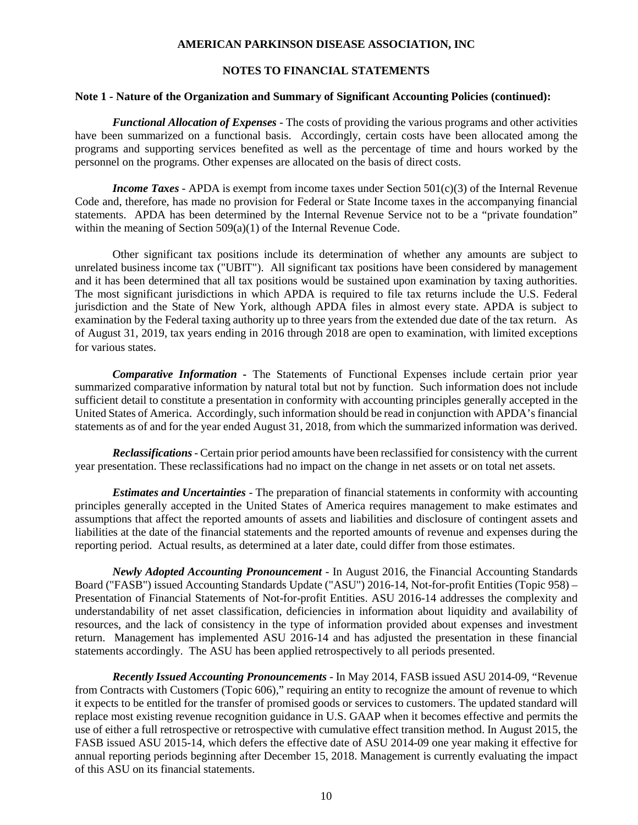## **NOTES TO FINANCIAL STATEMENTS**

#### **Note 1 - Nature of the Organization and Summary of Significant Accounting Policies (continued):**

*Functional Allocation of Expenses -* The costs of providing the various programs and other activities have been summarized on a functional basis. Accordingly, certain costs have been allocated among the programs and supporting services benefited as well as the percentage of time and hours worked by the personnel on the programs. Other expenses are allocated on the basis of direct costs.

*Income Taxes* - APDA is exempt from income taxes under Section 501(c)(3) of the Internal Revenue Code and, therefore, has made no provision for Federal or State Income taxes in the accompanying financial statements. APDA has been determined by the Internal Revenue Service not to be a "private foundation" within the meaning of Section 509(a)(1) of the Internal Revenue Code.

Other significant tax positions include its determination of whether any amounts are subject to unrelated business income tax ("UBIT"). All significant tax positions have been considered by management and it has been determined that all tax positions would be sustained upon examination by taxing authorities. The most significant jurisdictions in which APDA is required to file tax returns include the U.S. Federal jurisdiction and the State of New York, although APDA files in almost every state. APDA is subject to examination by the Federal taxing authority up to three years from the extended due date of the tax return. As of August 31, 2019, tax years ending in 2016 through 2018 are open to examination, with limited exceptions for various states.

*Comparative Information -* The Statements of Functional Expenses include certain prior year summarized comparative information by natural total but not by function. Such information does not include sufficient detail to constitute a presentation in conformity with accounting principles generally accepted in the United States of America. Accordingly, such information should be read in conjunction with APDA's financial statements as of and for the year ended August 31, 2018, from which the summarized information was derived.

*Reclassifications*- Certain prior period amounts have been reclassified for consistency with the current year presentation. These reclassifications had no impact on the change in net assets or on total net assets.

*Estimates and Uncertainties -* The preparation of financial statements in conformity with accounting principles generally accepted in the United States of America requires management to make estimates and assumptions that affect the reported amounts of assets and liabilities and disclosure of contingent assets and liabilities at the date of the financial statements and the reported amounts of revenue and expenses during the reporting period. Actual results, as determined at a later date, could differ from those estimates.

*Newly Adopted Accounting Pronouncement* - In August 2016, the Financial Accounting Standards Board ("FASB") issued Accounting Standards Update ("ASU") 2016-14, Not-for-profit Entities (Topic 958) – Presentation of Financial Statements of Not-for-profit Entities. ASU 2016-14 addresses the complexity and understandability of net asset classification, deficiencies in information about liquidity and availability of resources, and the lack of consistency in the type of information provided about expenses and investment return. Management has implemented ASU 2016-14 and has adjusted the presentation in these financial statements accordingly. The ASU has been applied retrospectively to all periods presented.

*Recently Issued Accounting Pronouncements* - In May 2014, FASB issued ASU 2014-09, "Revenue from Contracts with Customers (Topic 606)," requiring an entity to recognize the amount of revenue to which it expects to be entitled for the transfer of promised goods or services to customers. The updated standard will replace most existing revenue recognition guidance in U.S. GAAP when it becomes effective and permits the use of either a full retrospective or retrospective with cumulative effect transition method. In August 2015, the FASB issued ASU 2015-14, which defers the effective date of ASU 2014-09 one year making it effective for annual reporting periods beginning after December 15, 2018. Management is currently evaluating the impact of this ASU on its financial statements.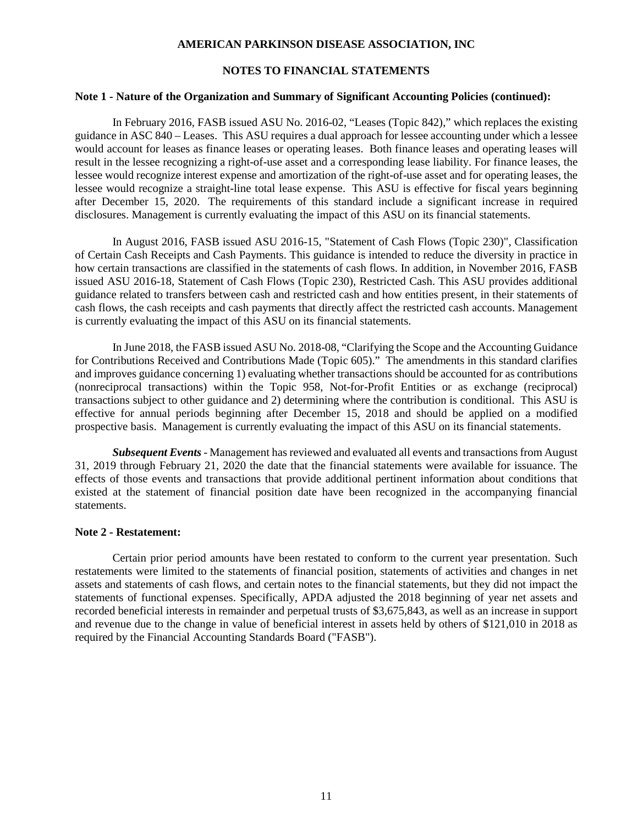## **NOTES TO FINANCIAL STATEMENTS**

#### **Note 1 - Nature of the Organization and Summary of Significant Accounting Policies (continued):**

In February 2016, FASB issued ASU No. 2016-02, "Leases (Topic 842)," which replaces the existing guidance in ASC 840 – Leases. This ASU requires a dual approach for lessee accounting under which a lessee would account for leases as finance leases or operating leases. Both finance leases and operating leases will result in the lessee recognizing a right-of-use asset and a corresponding lease liability. For finance leases, the lessee would recognize interest expense and amortization of the right-of-use asset and for operating leases, the lessee would recognize a straight-line total lease expense. This ASU is effective for fiscal years beginning after December 15, 2020. The requirements of this standard include a significant increase in required disclosures. Management is currently evaluating the impact of this ASU on its financial statements.

In August 2016, FASB issued ASU 2016-15, "Statement of Cash Flows (Topic 230)", Classification of Certain Cash Receipts and Cash Payments. This guidance is intended to reduce the diversity in practice in how certain transactions are classified in the statements of cash flows. In addition, in November 2016, FASB issued ASU 2016-18, Statement of Cash Flows (Topic 230), Restricted Cash. This ASU provides additional guidance related to transfers between cash and restricted cash and how entities present, in their statements of cash flows, the cash receipts and cash payments that directly affect the restricted cash accounts. Management is currently evaluating the impact of this ASU on its financial statements.

In June 2018, the FASB issued ASU No. 2018-08, "Clarifying the Scope and the Accounting Guidance for Contributions Received and Contributions Made (Topic 605)." The amendments in this standard clarifies and improves guidance concerning 1) evaluating whether transactions should be accounted for as contributions (nonreciprocal transactions) within the Topic 958, Not-for-Profit Entities or as exchange (reciprocal) transactions subject to other guidance and 2) determining where the contribution is conditional. This ASU is effective for annual periods beginning after December 15, 2018 and should be applied on a modified prospective basis. Management is currently evaluating the impact of this ASU on its financial statements.

*Subsequent Events* - Management has reviewed and evaluated all events and transactions from August 31, 2019 through February 21, 2020 the date that the financial statements were available for issuance. The effects of those events and transactions that provide additional pertinent information about conditions that existed at the statement of financial position date have been recognized in the accompanying financial statements.

## **Note 2 - Restatement:**

Certain prior period amounts have been restated to conform to the current year presentation. Such restatements were limited to the statements of financial position, statements of activities and changes in net assets and statements of cash flows, and certain notes to the financial statements, but they did not impact the statements of functional expenses. Specifically, APDA adjusted the 2018 beginning of year net assets and recorded beneficial interests in remainder and perpetual trusts of \$3,675,843, as well as an increase in support and revenue due to the change in value of beneficial interest in assets held by others of \$121,010 in 2018 as required by the Financial Accounting Standards Board ("FASB").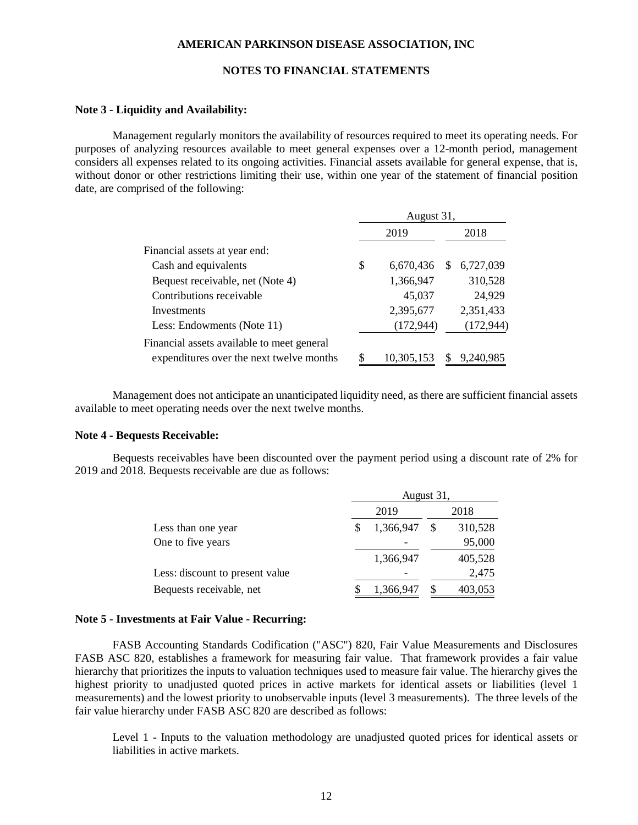## **NOTES TO FINANCIAL STATEMENTS**

### **Note 3 - Liquidity and Availability:**

Management regularly monitors the availability of resources required to meet its operating needs. For purposes of analyzing resources available to meet general expenses over a 12-month period, management considers all expenses related to its ongoing activities. Financial assets available for general expense, that is, without donor or other restrictions limiting their use, within one year of the statement of financial position date, are comprised of the following:

|                                            | August 31, |            |               |            |  |  |
|--------------------------------------------|------------|------------|---------------|------------|--|--|
|                                            |            | 2019       |               | 2018       |  |  |
| Financial assets at year end:              |            |            |               |            |  |  |
| Cash and equivalents                       | \$         | 6,670,436  | <sup>\$</sup> | 6,727,039  |  |  |
| Bequest receivable, net (Note 4)           |            | 1,366,947  |               | 310,528    |  |  |
| Contributions receivable                   |            | 45,037     |               | 24,929     |  |  |
| Investments                                |            | 2,395,677  |               | 2,351,433  |  |  |
| Less: Endowments (Note 11)                 |            | (172, 944) |               | (172, 944) |  |  |
| Financial assets available to meet general |            |            |               |            |  |  |
| expenditures over the next twelve months   | S          | 10,305,153 |               | 9,240,985  |  |  |

Management does not anticipate an unanticipated liquidity need, as there are sufficient financial assets available to meet operating needs over the next twelve months.

### **Note 4 - Bequests Receivable:**

Bequests receivables have been discounted over the payment period using a discount rate of 2% for 2019 and 2018. Bequests receivable are due as follows:

|                                 | August 31, |           |  |         |  |  |  |
|---------------------------------|------------|-----------|--|---------|--|--|--|
|                                 | 2019       |           |  | 2018    |  |  |  |
| Less than one year              |            | 1,366,947 |  | 310,528 |  |  |  |
| One to five years               |            |           |  | 95,000  |  |  |  |
|                                 |            | 1,366,947 |  | 405,528 |  |  |  |
| Less: discount to present value |            |           |  | 2,475   |  |  |  |
| Bequests receivable, net        |            | 1,366,947 |  | 403,053 |  |  |  |

#### **Note 5 - Investments at Fair Value - Recurring:**

FASB Accounting Standards Codification ("ASC") 820, Fair Value Measurements and Disclosures FASB ASC 820, establishes a framework for measuring fair value. That framework provides a fair value hierarchy that prioritizes the inputs to valuation techniques used to measure fair value. The hierarchy gives the highest priority to unadjusted quoted prices in active markets for identical assets or liabilities (level 1 measurements) and the lowest priority to unobservable inputs (level 3 measurements). The three levels of the fair value hierarchy under FASB ASC 820 are described as follows:

Level 1 - Inputs to the valuation methodology are unadjusted quoted prices for identical assets or liabilities in active markets.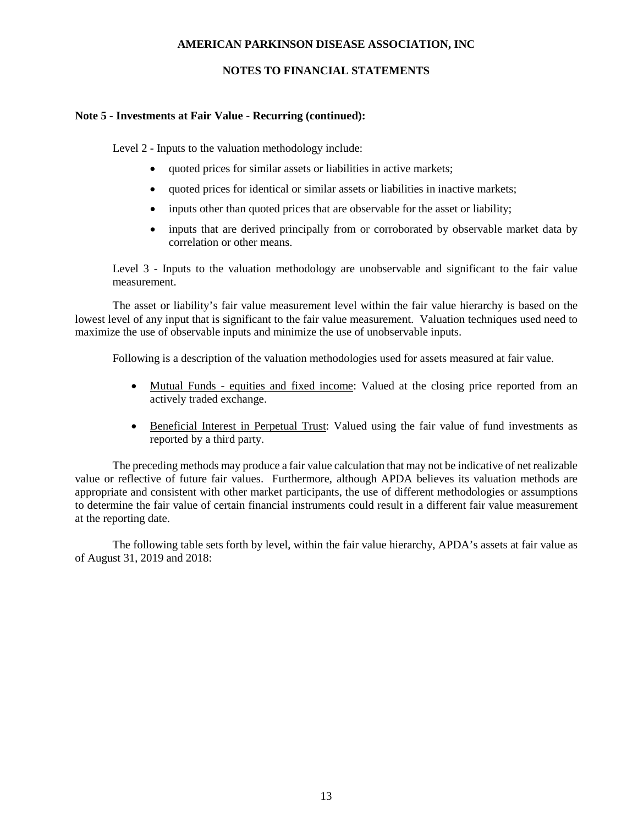## **NOTES TO FINANCIAL STATEMENTS**

## **Note 5 - Investments at Fair Value - Recurring (continued):**

Level 2 - Inputs to the valuation methodology include:

- quoted prices for similar assets or liabilities in active markets;
- quoted prices for identical or similar assets or liabilities in inactive markets;
- inputs other than quoted prices that are observable for the asset or liability;
- inputs that are derived principally from or corroborated by observable market data by correlation or other means.

Level 3 - Inputs to the valuation methodology are unobservable and significant to the fair value measurement.

The asset or liability's fair value measurement level within the fair value hierarchy is based on the lowest level of any input that is significant to the fair value measurement. Valuation techniques used need to maximize the use of observable inputs and minimize the use of unobservable inputs.

Following is a description of the valuation methodologies used for assets measured at fair value.

- Mutual Funds equities and fixed income: Valued at the closing price reported from an actively traded exchange.
- Beneficial Interest in Perpetual Trust: Valued using the fair value of fund investments as reported by a third party.

The preceding methods may produce a fair value calculation that may not be indicative of net realizable value or reflective of future fair values. Furthermore, although APDA believes its valuation methods are appropriate and consistent with other market participants, the use of different methodologies or assumptions to determine the fair value of certain financial instruments could result in a different fair value measurement at the reporting date.

The following table sets forth by level, within the fair value hierarchy, APDA's assets at fair value as of August 31, 2019 and 2018: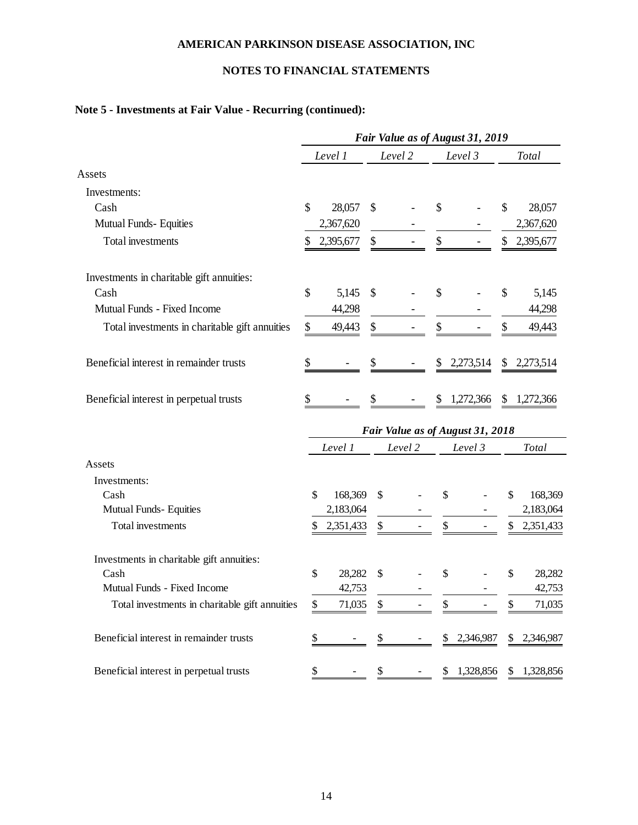## **NOTES TO FINANCIAL STATEMENTS**

## **Note 5 - Investments at Fair Value - Recurring (continued):**

|                                                | Fair Value as of August 31, 2019 |           |    |         |    |                                  |    |              |
|------------------------------------------------|----------------------------------|-----------|----|---------|----|----------------------------------|----|--------------|
|                                                |                                  | Level 1   |    | Level 2 |    | Level 3                          |    | <b>Total</b> |
| Assets                                         |                                  |           |    |         |    |                                  |    |              |
| Investments:                                   |                                  |           |    |         |    |                                  |    |              |
| Cash                                           | \$                               | 28,057    | \$ |         | \$ |                                  | \$ | 28,057       |
| Mutual Funds- Equities                         |                                  | 2,367,620 |    |         |    |                                  |    | 2,367,620    |
| Total investments                              | \$                               | 2,395,677 | \$ |         | \$ |                                  | \$ | 2,395,677    |
| Investments in charitable gift annuities:      |                                  |           |    |         |    |                                  |    |              |
| Cash                                           | \$                               | 5,145     | \$ |         | \$ |                                  | \$ | 5,145        |
| Mutual Funds - Fixed Income                    |                                  | 44,298    |    |         |    |                                  |    | 44,298       |
| Total investments in charitable gift annuities | \$                               | 49,443    | \$ |         | \$ |                                  | S  | 49,443       |
| Beneficial interest in remainder trusts        | \$                               |           | S  |         | S  | 2,273,514                        | \$ | 2,273,514    |
| Beneficial interest in perpetual trusts        | \$                               |           | S  |         | \$ | 1,272,366                        | \$ | 1,272,366    |
|                                                |                                  |           |    |         |    | Fair Value as of August 31, 2018 |    |              |
|                                                |                                  | Level 1   |    | Level 2 |    | Level 3                          |    | <b>Total</b> |
| Assets                                         |                                  |           |    |         |    |                                  |    |              |
| Investments:                                   |                                  |           |    |         |    |                                  |    |              |
| Cash                                           | \$                               | 168,369   | \$ |         | \$ |                                  | \$ | 168,369      |
| Mutual Funds- Equities                         |                                  | 2,183,064 |    |         |    |                                  |    | 2,183,064    |
| <b>Total</b> investments                       | \$                               | 2,351,433 | \$ |         |    |                                  | \$ | 2,351,433    |
| Investments in charitable gift annuities:      |                                  |           |    |         |    |                                  |    |              |
| Cash                                           | \$                               | 28,282    | S  |         | \$ |                                  | \$ | 28,282       |
| Mutual Funds - Fixed Income                    |                                  | 42,753    |    |         |    |                                  |    | 42,753       |
| Total investments in charitable gift annuities | \$                               | 71,035    |    |         |    |                                  |    | 71,035       |
| Beneficial interest in remainder trusts        | \$                               |           |    |         | \$ | 2,346,987                        | \$ | 2,346,987    |
| Beneficial interest in perpetual trusts        |                                  |           |    |         | S  | 1,328,856                        | \$ | 1,328,856    |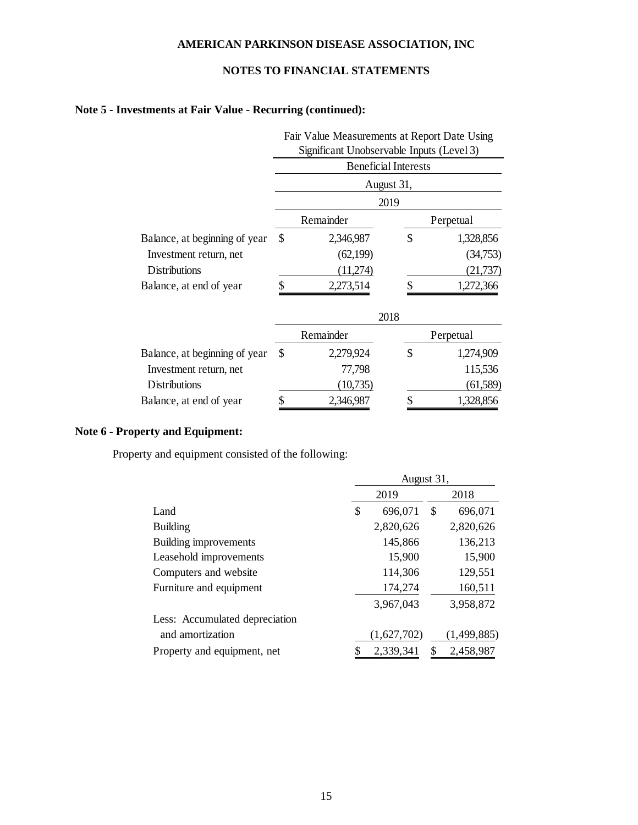## **NOTES TO FINANCIAL STATEMENTS**

## **Note 5 - Investments at Fair Value - Recurring (continued):**

|                               | Fair Value Measurements at Report Date Using |                                           |    |           |  |  |  |
|-------------------------------|----------------------------------------------|-------------------------------------------|----|-----------|--|--|--|
|                               |                                              | Significant Unobservable Inputs (Level 3) |    |           |  |  |  |
|                               |                                              | <b>Beneficial Interests</b>               |    |           |  |  |  |
|                               | August 31,                                   |                                           |    |           |  |  |  |
|                               |                                              | 2019                                      |    |           |  |  |  |
|                               |                                              | Remainder                                 |    | Perpetual |  |  |  |
| Balance, at beginning of year | \$                                           | 2,346,987                                 | \$ | 1,328,856 |  |  |  |
| Investment return, net        |                                              | (62,199)                                  |    | (34,753)  |  |  |  |
| <b>Distributions</b>          |                                              | (11,274)                                  |    | (21, 737) |  |  |  |
| Balance, at end of year       |                                              | 2,273,514                                 | \$ | 1,272,366 |  |  |  |
|                               | 2018                                         |                                           |    |           |  |  |  |
|                               |                                              | Remainder                                 |    | Perpetual |  |  |  |
| Balance, at beginning of year | \$                                           | 2,279,924                                 | \$ | 1,274,909 |  |  |  |
| Investment return, net        |                                              | 77,798                                    |    | 115,536   |  |  |  |
| Distributions                 |                                              | (10,735)                                  |    | (61,589)  |  |  |  |
| Balance, at end of year       | \$                                           | 2,346,987                                 | \$ | 1,328,856 |  |  |  |

## **Note 6 - Property and Equipment:**

Property and equipment consisted of the following:

|                                | August 31,     |               |  |  |  |
|--------------------------------|----------------|---------------|--|--|--|
|                                | 2019           | 2018          |  |  |  |
| Land                           | \$<br>696,071  | 696,071<br>S  |  |  |  |
| <b>Building</b>                | 2,820,626      | 2,820,626     |  |  |  |
| Building improvements          | 145,866        | 136,213       |  |  |  |
| Leasehold improvements         | 15,900         | 15,900        |  |  |  |
| Computers and website          | 114,306        | 129,551       |  |  |  |
| Furniture and equipment        | 174,274        | 160,511       |  |  |  |
|                                | 3,967,043      | 3,958,872     |  |  |  |
| Less: Accumulated depreciation |                |               |  |  |  |
| and amortization               | (1,627,702)    | (1, 499, 885) |  |  |  |
| Property and equipment, net    | 2,339,341<br>S | 2,458,987     |  |  |  |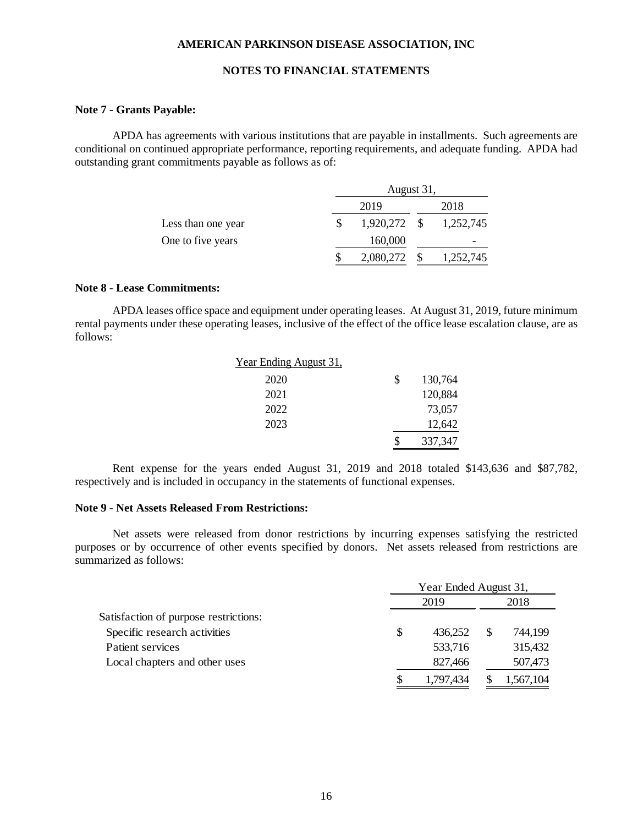## **NOTES TO FINANCIAL STATEMENTS**

### **Note 7 - Grants Payable:**

APDA has agreements with various institutions that are payable in installments. Such agreements are conditional on continued appropriate performance, reporting requirements, and adequate funding. APDA had outstanding grant commitments payable as follows as of:

|                    |  | August 31, |      |           |  |  |  |  |
|--------------------|--|------------|------|-----------|--|--|--|--|
|                    |  |            | 2018 |           |  |  |  |  |
| Less than one year |  | 1,920,272  | - \$ | 1,252,745 |  |  |  |  |
| One to five years  |  | 160,000    |      |           |  |  |  |  |
|                    |  | 2,080,272  |      | 1,252,745 |  |  |  |  |

### **Note 8 - Lease Commitments:**

APDA leases office space and equipment under operating leases. At August 31, 2019, future minimum rental payments under these operating leases, inclusive of the effect of the office lease escalation clause, are as follows:

| Year Ending August 31, |               |
|------------------------|---------------|
| 2020                   | \$<br>130,764 |
| 2021                   | 120,884       |
| 2022                   | 73,057        |
| 2023                   | 12,642        |
|                        | 337,347       |

Rent expense for the years ended August 31, 2019 and 2018 totaled \$143,636 and \$87,782, respectively and is included in occupancy in the statements of functional expenses.

### **Note 9 - Net Assets Released From Restrictions:**

Net assets were released from donor restrictions by incurring expenses satisfying the restricted purposes or by occurrence of other events specified by donors. Net assets released from restrictions are summarized as follows:

|                                       | Year Ended August 31, |           |   |           |  |
|---------------------------------------|-----------------------|-----------|---|-----------|--|
|                                       |                       | 2019      |   |           |  |
| Satisfaction of purpose restrictions: |                       |           |   |           |  |
| Specific research activities          | \$                    | 436.252   | S | 744,199   |  |
| Patient services                      |                       | 533,716   |   | 315,432   |  |
| Local chapters and other uses         |                       | 827,466   |   | 507,473   |  |
|                                       |                       | 1,797,434 |   | 1,567,104 |  |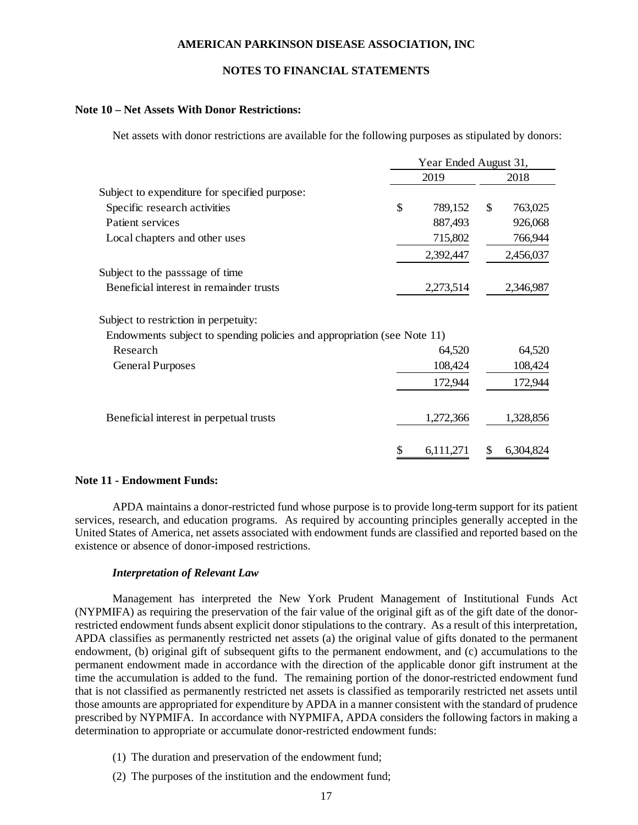## **NOTES TO FINANCIAL STATEMENTS**

### **Note 10 – Net Assets With Donor Restrictions:**

Net assets with donor restrictions are available for the following purposes as stipulated by donors:

|                                                                         | Year Ended August 31, |           |    |           |  |
|-------------------------------------------------------------------------|-----------------------|-----------|----|-----------|--|
|                                                                         |                       | 2019      |    | 2018      |  |
| Subject to expenditure for specified purpose:                           |                       |           |    |           |  |
| Specific research activities                                            | \$                    | 789,152   | \$ | 763,025   |  |
| Patient services                                                        |                       | 887,493   |    | 926,068   |  |
| Local chapters and other uses                                           |                       | 715,802   |    | 766,944   |  |
|                                                                         |                       | 2,392,447 |    | 2,456,037 |  |
| Subject to the passage of time                                          |                       |           |    |           |  |
| Beneficial interest in remainder trusts                                 |                       | 2,273,514 |    | 2,346,987 |  |
| Subject to restriction in perpetuity:                                   |                       |           |    |           |  |
| Endowments subject to spending policies and appropriation (see Note 11) |                       |           |    |           |  |
| Research                                                                |                       | 64,520    |    | 64,520    |  |
| <b>General Purposes</b>                                                 |                       | 108,424   |    | 108,424   |  |
|                                                                         |                       | 172,944   |    | 172,944   |  |
| Beneficial interest in perpetual trusts                                 |                       | 1,272,366 |    | 1,328,856 |  |
|                                                                         |                       | 6,111,271 | S  | 6,304,824 |  |

### **Note 11 - Endowment Funds:**

APDA maintains a donor-restricted fund whose purpose is to provide long-term support for its patient services, research, and education programs. As required by accounting principles generally accepted in the United States of America, net assets associated with endowment funds are classified and reported based on the existence or absence of donor-imposed restrictions.

## *Interpretation of Relevant Law*

Management has interpreted the New York Prudent Management of Institutional Funds Act (NYPMIFA) as requiring the preservation of the fair value of the original gift as of the gift date of the donorrestricted endowment funds absent explicit donor stipulations to the contrary. As a result of this interpretation, APDA classifies as permanently restricted net assets (a) the original value of gifts donated to the permanent endowment, (b) original gift of subsequent gifts to the permanent endowment, and (c) accumulations to the permanent endowment made in accordance with the direction of the applicable donor gift instrument at the time the accumulation is added to the fund. The remaining portion of the donor-restricted endowment fund that is not classified as permanently restricted net assets is classified as temporarily restricted net assets until those amounts are appropriated for expenditure by APDA in a manner consistent with the standard of prudence prescribed by NYPMIFA. In accordance with NYPMIFA, APDA considers the following factors in making a determination to appropriate or accumulate donor-restricted endowment funds:

- (1) The duration and preservation of the endowment fund;
- (2) The purposes of the institution and the endowment fund;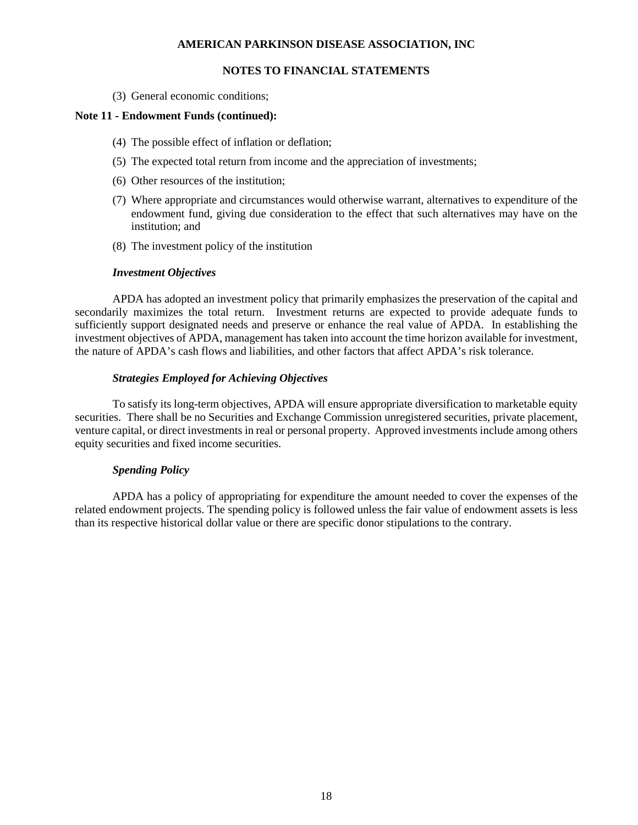## **NOTES TO FINANCIAL STATEMENTS**

(3) General economic conditions;

### **Note 11 - Endowment Funds (continued):**

- (4) The possible effect of inflation or deflation;
- (5) The expected total return from income and the appreciation of investments;
- (6) Other resources of the institution;
- (7) Where appropriate and circumstances would otherwise warrant, alternatives to expenditure of the endowment fund, giving due consideration to the effect that such alternatives may have on the institution; and
- (8) The investment policy of the institution

## *Investment Objectives*

APDA has adopted an investment policy that primarily emphasizes the preservation of the capital and secondarily maximizes the total return. Investment returns are expected to provide adequate funds to sufficiently support designated needs and preserve or enhance the real value of APDA. In establishing the investment objectives of APDA, management has taken into account the time horizon available for investment, the nature of APDA's cash flows and liabilities, and other factors that affect APDA's risk tolerance.

## *Strategies Employed for Achieving Objectives*

To satisfy its long-term objectives, APDA will ensure appropriate diversification to marketable equity securities. There shall be no Securities and Exchange Commission unregistered securities, private placement, venture capital, or direct investments in real or personal property. Approved investments include among others equity securities and fixed income securities.

## *Spending Policy*

APDA has a policy of appropriating for expenditure the amount needed to cover the expenses of the related endowment projects. The spending policy is followed unless the fair value of endowment assets is less than its respective historical dollar value or there are specific donor stipulations to the contrary.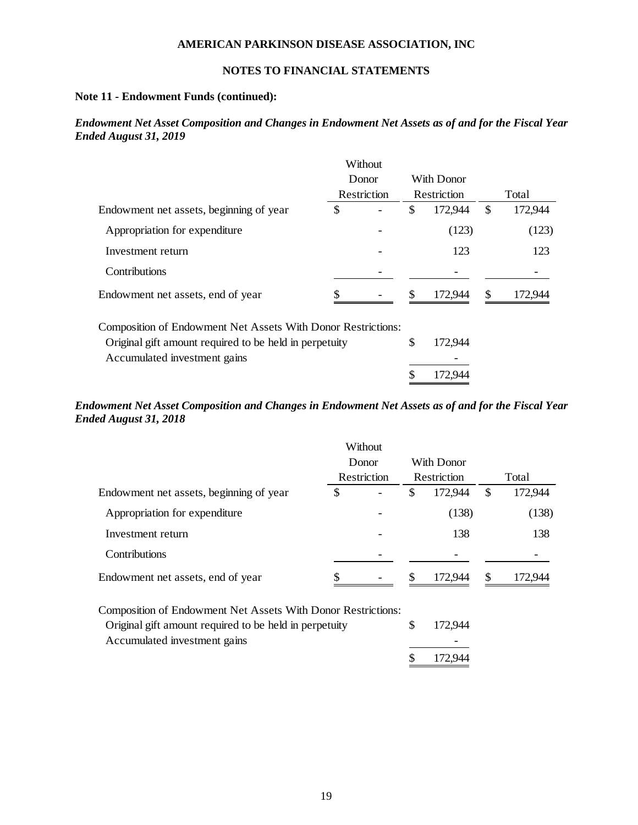## **NOTES TO FINANCIAL STATEMENTS**

## **Note 11 - Endowment Funds (continued):**

## *Endowment Net Asset Composition and Changes in Endowment Net Assets as of and for the Fiscal Year Ended August 31, 2019*

|                                                              |    | Without              |     |             |               |
|--------------------------------------------------------------|----|----------------------|-----|-------------|---------------|
|                                                              |    | Donor<br>Restriction |     | With Donor  |               |
|                                                              |    |                      |     | Restriction | Total         |
| Endowment net assets, beginning of year                      |    |                      | \$  | 172,944     | \$<br>172,944 |
| Appropriation for expenditure                                |    |                      |     | (123)       | (123)         |
| Investment return                                            |    |                      |     | 123         | 123           |
| <b>Contributions</b>                                         |    |                      |     |             |               |
| Endowment net assets, end of year                            | \$ |                      | \$. | 172,944     | \$<br>172,944 |
| Composition of Endowment Net Assets With Donor Restrictions: |    |                      |     |             |               |
| Original gift amount required to be held in perpetuity       |    |                      | \$  | 172,944     |               |
| Accumulated investment gains                                 |    |                      |     |             |               |
|                                                              |    |                      | \$  | 172.944     |               |

## *Endowment Net Asset Composition and Changes in Endowment Net Assets as of and for the Fiscal Year Ended August 31, 2018*

|                                         |    | Without<br>Donor         |    | With Donor  |       |         |  |
|-----------------------------------------|----|--------------------------|----|-------------|-------|---------|--|
|                                         |    | Restriction              |    | Restriction | Total |         |  |
| Endowment net assets, beginning of year | \$ | -                        | \$ | 172,944     | \$    | 172,944 |  |
| Appropriation for expenditure           |    |                          |    | (138)       |       | (138)   |  |
| Investment return                       |    |                          |    | 138         |       | 138     |  |
| <b>Contributions</b>                    |    | $\overline{\phantom{0}}$ |    |             |       |         |  |
| Endowment net assets, end of year       | S  |                          | S  | 172.944     | \$    | 172.944 |  |

Composition of Endowment Net Assets With Donor Restrictions:

| Original gift amount required to be held in perpetuity | 172,944 |
|--------------------------------------------------------|---------|
| Accumulated investment gains                           |         |
|                                                        | 172,944 |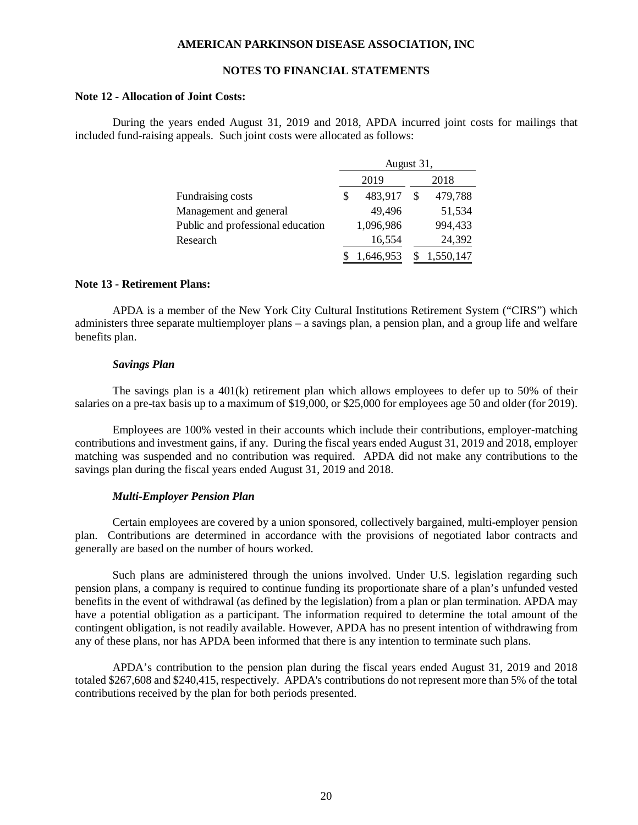## **NOTES TO FINANCIAL STATEMENTS**

#### **Note 12 - Allocation of Joint Costs:**

During the years ended August 31, 2019 and 2018, APDA incurred joint costs for mailings that included fund-raising appeals. Such joint costs were allocated as follows:

|                                   |   | August 31, |  |           |  |  |  |
|-----------------------------------|---|------------|--|-----------|--|--|--|
|                                   |   | 2019       |  | 2018      |  |  |  |
| Fundraising costs                 | S | 483,917    |  | 479,788   |  |  |  |
| Management and general            |   | 49,496     |  | 51,534    |  |  |  |
| Public and professional education |   | 1,096,986  |  | 994,433   |  |  |  |
| Research                          |   | 16,554     |  | 24,392    |  |  |  |
|                                   |   | 1,646,953  |  | 1,550,147 |  |  |  |

### **Note 13 - Retirement Plans:**

APDA is a member of the New York City Cultural Institutions Retirement System ("CIRS") which administers three separate multiemployer plans – a savings plan, a pension plan, and a group life and welfare benefits plan.

#### *Savings Plan*

The savings plan is a 401(k) retirement plan which allows employees to defer up to 50% of their salaries on a pre-tax basis up to a maximum of \$19,000, or \$25,000 for employees age 50 and older (for 2019).

Employees are 100% vested in their accounts which include their contributions, employer-matching contributions and investment gains, if any. During the fiscal years ended August 31, 2019 and 2018, employer matching was suspended and no contribution was required. APDA did not make any contributions to the savings plan during the fiscal years ended August 31, 2019 and 2018.

### *Multi-Employer Pension Plan*

Certain employees are covered by a union sponsored, collectively bargained, multi-employer pension plan. Contributions are determined in accordance with the provisions of negotiated labor contracts and generally are based on the number of hours worked.

Such plans are administered through the unions involved. Under U.S. legislation regarding such pension plans, a company is required to continue funding its proportionate share of a plan's unfunded vested benefits in the event of withdrawal (as defined by the legislation) from a plan or plan termination. APDA may have a potential obligation as a participant. The information required to determine the total amount of the contingent obligation, is not readily available. However, APDA has no present intention of withdrawing from any of these plans, nor has APDA been informed that there is any intention to terminate such plans.

APDA's contribution to the pension plan during the fiscal years ended August 31, 2019 and 2018 totaled \$267,608 and \$240,415, respectively. APDA's contributions do not represent more than 5% of the total contributions received by the plan for both periods presented.